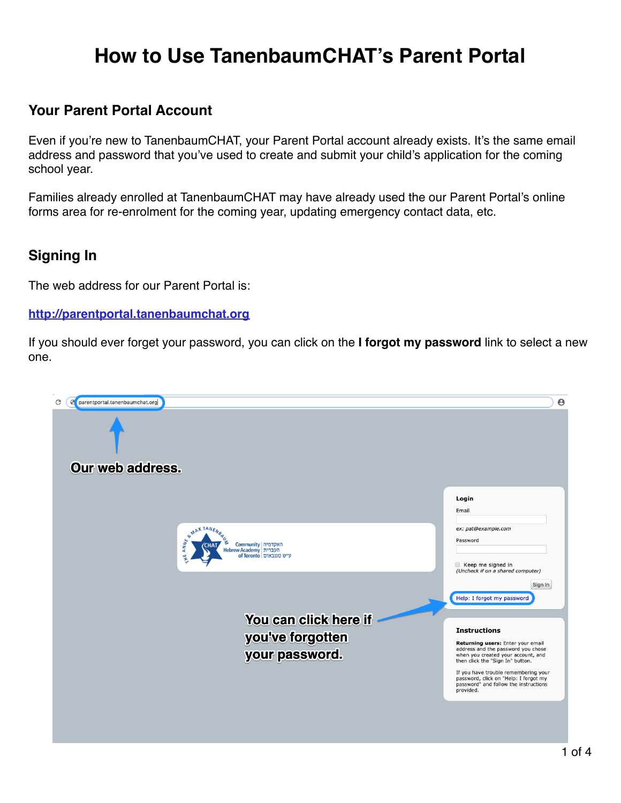# **How to Use TanenbaumCHAT's Parent Portal**

### **Your Parent Portal Account**

Even if you're new to TanenbaumCHAT, your Parent Portal account already exists. It's the same email address and password that you've used to create and submit your child's application for the coming school year.

Families already enrolled at TanenbaumCHAT may have already used the our Parent Portal's online forms area for re-enrolment for the coming year, updating emergency contact data, etc.

### **Signing In**

The web address for our Parent Portal is:

#### **[http://parentportal.tanenbaumchat.org](https://sfo.inresonance.com/tanenbaumchat/)**

If you should ever forget your password, you can click on the **I forgot my password** link to select a new one.

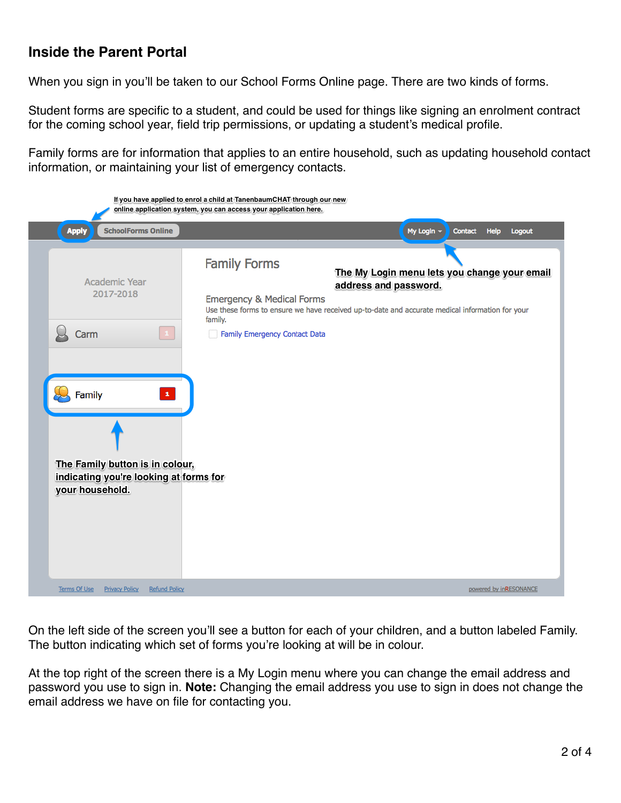### **Inside the Parent Portal**

When you sign in you'll be taken to our School Forms Online page. There are two kinds of forms.

Student forms are specific to a student, and could be used for things like signing an enrolment contract for the coming school year, field trip permissions, or updating a student's medical profile.

Family forms are for information that applies to an entire household, such as updating household contact information, or maintaining your list of emergency contacts.

| If you have applied to enrol a child at TanenbaumCHAT through our new<br>online application system, you can access your application here.                           |                                                                                                                                                                                                                                                                                            |
|---------------------------------------------------------------------------------------------------------------------------------------------------------------------|--------------------------------------------------------------------------------------------------------------------------------------------------------------------------------------------------------------------------------------------------------------------------------------------|
| <b>SchoolForms Online</b><br><b>Apply</b>                                                                                                                           | My Login -<br>Contact<br>Help<br>Logout                                                                                                                                                                                                                                                    |
| Academic Year<br>2017-2018<br>Carm<br>$\mathbf{1}^{\top}$<br>Family<br>The Family button is in colour,<br>indicating you're looking at forms for<br>your household. | <b>Family Forms</b><br>The My Login menu lets you change your email<br>address and password.<br><b>Emergency &amp; Medical Forms</b><br>Use these forms to ensure we have received up-to-date and accurate medical information for your<br>family.<br><b>Family Emergency Contact Data</b> |
| Terms Of Use<br><b>Privacy Policy</b><br><b>Refund Policy</b>                                                                                                       | powered by inRESONANCE                                                                                                                                                                                                                                                                     |

On the left side of the screen you'll see a button for each of your children, and a button labeled Family. The button indicating which set of forms you're looking at will be in colour.

At the top right of the screen there is a My Login menu where you can change the email address and password you use to sign in. **Note:** Changing the email address you use to sign in does not change the email address we have on file for contacting you.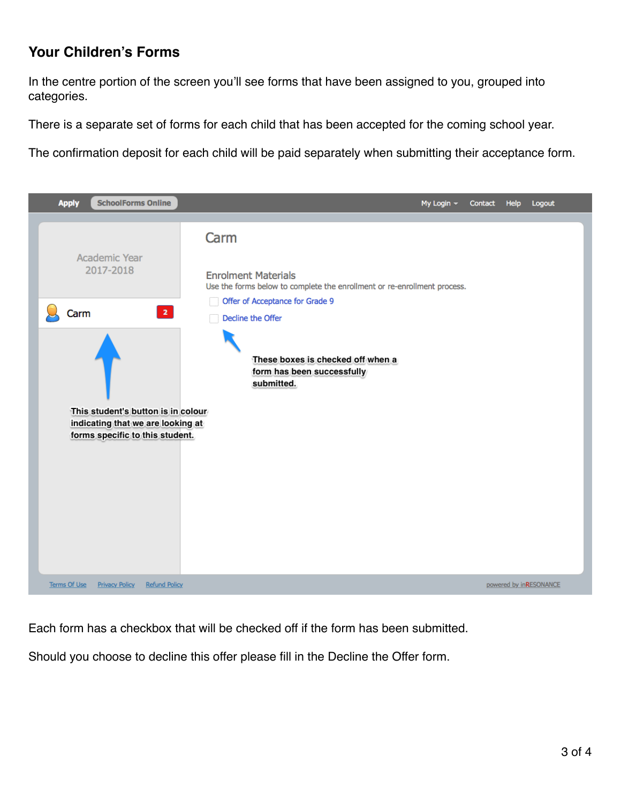## **Your Children's Forms**

In the centre portion of the screen you'll see forms that have been assigned to you, grouped into categories.

There is a separate set of forms for each child that has been accepted for the coming school year.

The confirmation deposit for each child will be paid separately when submitting their acceptance form.



Each form has a checkbox that will be checked off if the form has been submitted.

Should you choose to decline this offer please fill in the Decline the Offer form.